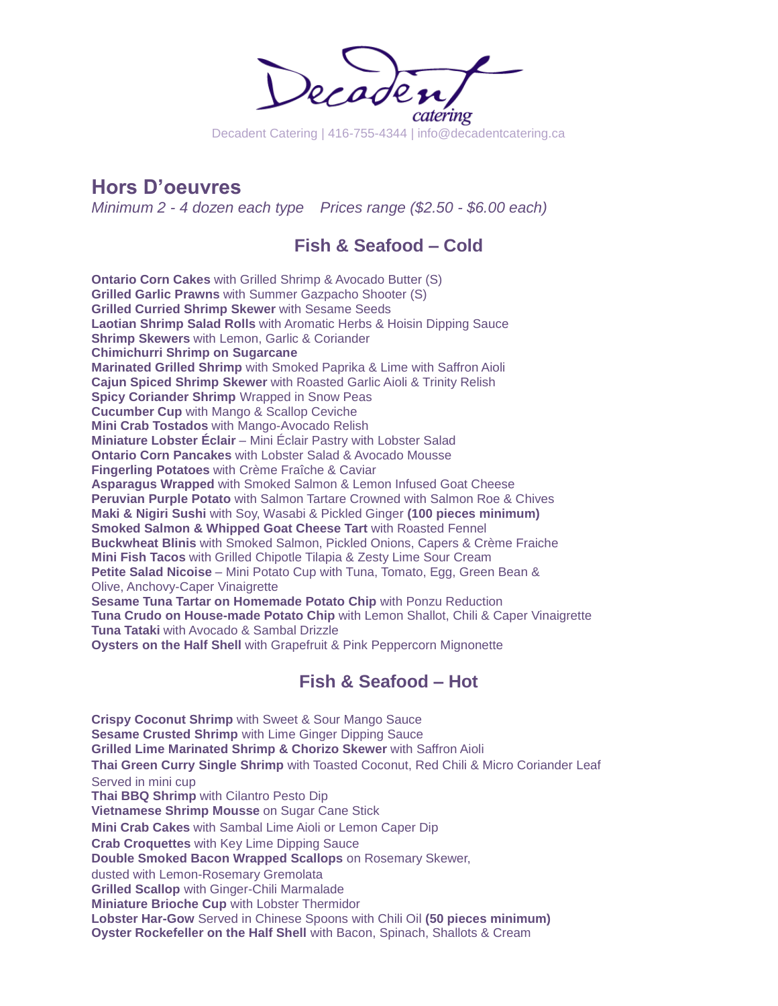

**Hors D'oeuvres**

*Minimum 2 - 4 dozen each type Prices range (\$2.50 - \$6.00 each)*

## **Fish & Seafood – Cold**

**Ontario Corn Cakes** with Grilled Shrimp & Avocado Butter (S) **Grilled Garlic Prawns** with Summer Gazpacho Shooter (S) **Grilled Curried Shrimp Skewer** with Sesame Seeds **Laotian Shrimp Salad Rolls** with Aromatic Herbs & Hoisin Dipping Sauce **Shrimp Skewers** with Lemon, Garlic & Coriander **Chimichurri Shrimp on Sugarcane Marinated Grilled Shrimp** with Smoked Paprika & Lime with Saffron Aioli **Cajun Spiced Shrimp Skewer** with Roasted Garlic Aioli & Trinity Relish **Spicy Coriander Shrimp** Wrapped in Snow Peas **Cucumber Cup** with Mango & Scallop Ceviche **Mini Crab Tostados** with Mango-Avocado Relish **Miniature Lobster Éclair** – Mini Éclair Pastry with Lobster Salad **Ontario Corn Pancakes** with Lobster Salad & Avocado Mousse **Fingerling Potatoes** with Crème Fraîche & Caviar **Asparagus Wrapped** with Smoked Salmon & Lemon Infused Goat Cheese **Peruvian Purple Potato** with Salmon Tartare Crowned with Salmon Roe & Chives **Maki & Nigiri Sushi** with Soy, Wasabi & Pickled Ginger **(100 pieces minimum) Smoked Salmon & Whipped Goat Cheese Tart** with Roasted Fennel **Buckwheat Blinis** with Smoked Salmon, Pickled Onions, Capers & Crème Fraiche **Mini Fish Tacos** with Grilled Chipotle Tilapia & Zesty Lime Sour Cream **Petite Salad Nicoise** – Mini Potato Cup with Tuna, Tomato, Egg, Green Bean & Olive, Anchovy-Caper Vinaigrette **Sesame Tuna Tartar on Homemade Potato Chip** with Ponzu Reduction **Tuna Crudo on House-made Potato Chip** with Lemon Shallot, Chili & Caper Vinaigrette **Tuna Tataki** with Avocado & Sambal Drizzle **Oysters on the Half Shell** with Grapefruit & Pink Peppercorn Mignonette

## **Fish & Seafood – Hot**

**Crispy Coconut Shrimp** with Sweet & Sour Mango Sauce **Sesame Crusted Shrimp** with Lime Ginger Dipping Sauce **Grilled Lime Marinated Shrimp & Chorizo Skewer** with Saffron Aioli **Thai Green Curry Single Shrimp** with Toasted Coconut, Red Chili & Micro Coriander Leaf Served in mini cup **Thai BBQ Shrimp** with Cilantro Pesto Dip **Vietnamese Shrimp Mousse** on Sugar Cane Stick **Mini Crab Cakes** with Sambal Lime Aioli or Lemon Caper Dip **Crab Croquettes** with Key Lime Dipping Sauce **Double Smoked Bacon Wrapped Scallops** on Rosemary Skewer, dusted with Lemon-Rosemary Gremolata **Grilled Scallop** with Ginger-Chili Marmalade **Miniature Brioche Cup** with Lobster Thermidor **Lobster Har-Gow** Served in Chinese Spoons with Chili Oil **(50 pieces minimum) Oyster Rockefeller on the Half Shell** with Bacon, Spinach, Shallots & Cream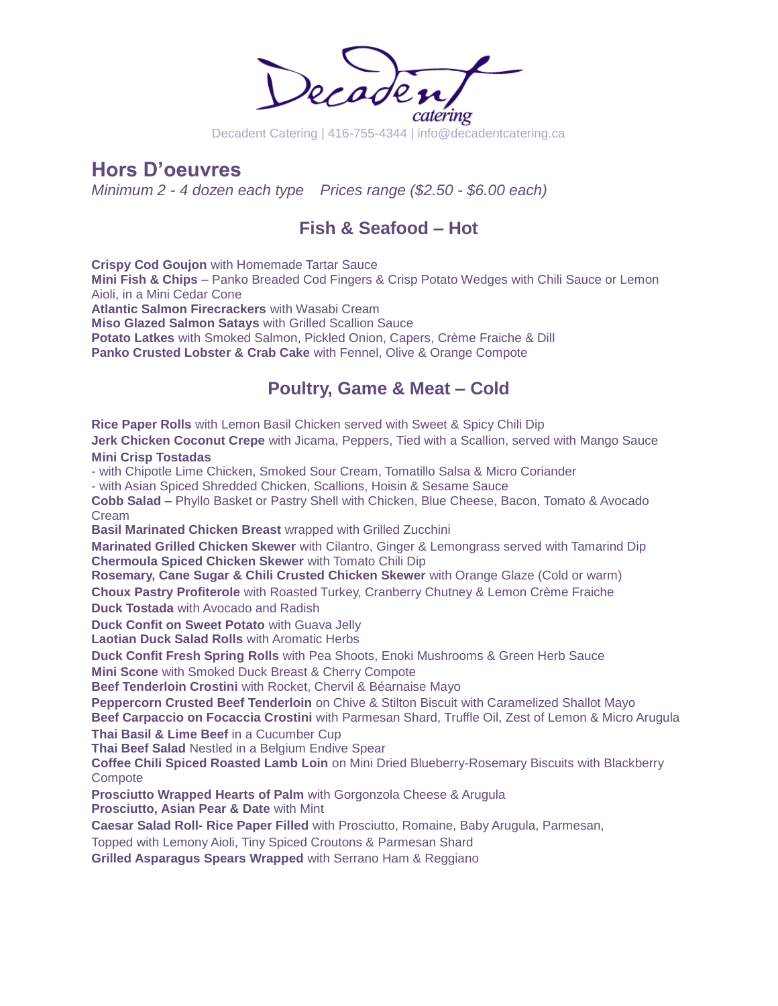

**Hors D'oeuvres**

*Minimum 2 - 4 dozen each type Prices range (\$2.50 - \$6.00 each)*

## **Fish & Seafood – Hot**

**Crispy Cod Goujon** with Homemade Tartar Sauce **Mini Fish & Chips** – Panko Breaded Cod Fingers & Crisp Potato Wedges with Chili Sauce or Lemon Aioli, in a Mini Cedar Cone **Atlantic Salmon Firecrackers** with Wasabi Cream **Miso Glazed Salmon Satays** with Grilled Scallion Sauce **Potato Latkes** with Smoked Salmon, Pickled Onion, Capers, Crème Fraiche & Dill **Panko Crusted Lobster & Crab Cake** with Fennel, Olive & Orange Compote

### **Poultry, Game & Meat – Cold**

**Rice Paper Rolls** with Lemon Basil Chicken served with Sweet & Spicy Chili Dip

**Jerk Chicken Coconut Crepe** with Jicama, Peppers, Tied with a Scallion, served with Mango Sauce **Mini Crisp Tostadas** 

- with Chipotle Lime Chicken, Smoked Sour Cream, Tomatillo Salsa & Micro Coriander

- with Asian Spiced Shredded Chicken, Scallions, Hoisin & Sesame Sauce

**Cobb Salad** – Phyllo Basket or Pastry Shell with Chicken, Blue Cheese, Bacon, Tomato & Avocado Cream

**Basil Marinated Chicken Breast** wrapped with Grilled Zucchini

**Marinated Grilled Chicken Skewer** with Cilantro, Ginger & Lemongrass served with Tamarind Dip **Chermoula Spiced Chicken Skewer** with Tomato Chili Dip

**Rosemary, Cane Sugar & Chili Crusted Chicken Skewer** with Orange Glaze (Cold or warm) **Choux Pastry Profiterole** with Roasted Turkey, Cranberry Chutney & Lemon Crème Fraiche **Duck Tostada** with Avocado and Radish

**Duck Confit on Sweet Potato** with Guava Jelly

**Laotian Duck Salad Rolls** with Aromatic Herbs

**Duck Confit Fresh Spring Rolls** with Pea Shoots, Enoki Mushrooms & Green Herb Sauce

**Mini Scone** with Smoked Duck Breast & Cherry Compote

**Beef Tenderloin Crostini** with Rocket, Chervil & Béarnaise Mayo

**Peppercorn Crusted Beef Tenderloin** on Chive & Stilton Biscuit with Caramelized Shallot Mayo **Beef Carpaccio on Focaccia Crostini** with Parmesan Shard, Truffle Oil, Zest of Lemon & Micro Arugula

**Thai Basil & Lime Beef** in a Cucumber Cup

**Thai Beef Salad** Nestled in a Belgium Endive Spear

**Coffee Chili Spiced Roasted Lamb Loin** on Mini Dried Blueberry-Rosemary Biscuits with Blackberry **Compote** 

**Prosciutto Wrapped Hearts of Palm** with Gorgonzola Cheese & Arugula

**Prosciutto, Asian Pear & Date** with Mint

**Caesar Salad Roll- Rice Paper Filled** with Prosciutto, Romaine, Baby Arugula, Parmesan,

Topped with Lemony Aioli, Tiny Spiced Croutons & Parmesan Shard

**Grilled Asparagus Spears Wrapped** with Serrano Ham & Reggiano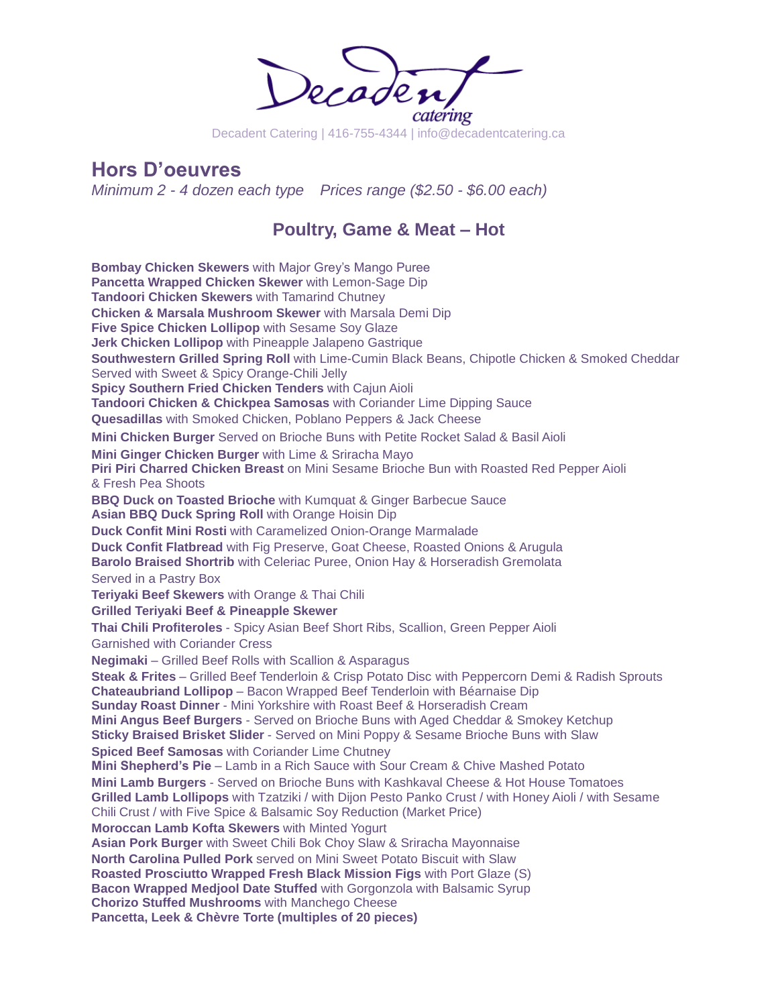catering

Decadent Catering | 416-755-4344 | info@decadentcatering.ca

## **Hors D'oeuvres**

*Minimum 2 - 4 dozen each type Prices range (\$2.50 - \$6.00 each)*

### **Poultry, Game & Meat – Hot**

**Bombay Chicken Skewers** with Major Grey's Mango Puree **Pancetta Wrapped Chicken Skewer** with Lemon-Sage Dip **Tandoori Chicken Skewers** with Tamarind Chutney **Chicken & Marsala Mushroom Skewer** with Marsala Demi Dip **Five Spice Chicken Lollipop** with Sesame Soy Glaze **Jerk Chicken Lollipop** with Pineapple Jalapeno Gastrique **Southwestern Grilled Spring Roll** with Lime-Cumin Black Beans, Chipotle Chicken & Smoked Cheddar Served with Sweet & Spicy Orange-Chili Jelly **Spicy Southern Fried Chicken Tenders** with Cajun Aioli **Tandoori Chicken & Chickpea Samosas** with Coriander Lime Dipping Sauce **Quesadillas** with Smoked Chicken, Poblano Peppers & Jack Cheese **Mini Chicken Burger** Served on Brioche Buns with Petite Rocket Salad & Basil Aioli **Mini Ginger Chicken Burger** with Lime & Sriracha Mayo **Piri Piri Charred Chicken Breast** on Mini Sesame Brioche Bun with Roasted Red Pepper Aioli & Fresh Pea Shoots **BBQ Duck on Toasted Brioche** with Kumquat & Ginger Barbecue Sauce **Asian BBQ Duck Spring Roll** with Orange Hoisin Dip **Duck Confit Mini Rosti** with Caramelized Onion-Orange Marmalade **Duck Confit Flatbread** with Fig Preserve, Goat Cheese, Roasted Onions & Arugula **Barolo Braised Shortrib** with Celeriac Puree, Onion Hay & Horseradish Gremolata Served in a Pastry Box **Teriyaki Beef Skewers** with Orange & Thai Chili **Grilled Teriyaki Beef & Pineapple Skewer Thai Chili Profiteroles** - Spicy Asian Beef Short Ribs, Scallion, Green Pepper Aioli Garnished with Coriander Cress **Negimaki** – Grilled Beef Rolls with Scallion & Asparagus **Steak & Frites** – Grilled Beef Tenderloin & Crisp Potato Disc with Peppercorn Demi & Radish Sprouts **Chateaubriand Lollipop** – Bacon Wrapped Beef Tenderloin with Béarnaise Dip **Sunday Roast Dinner** - Mini Yorkshire with Roast Beef & Horseradish Cream **Mini Angus Beef Burgers** - Served on Brioche Buns with Aged Cheddar & Smokey Ketchup **Sticky Braised Brisket Slider** - Served on Mini Poppy & Sesame Brioche Buns with Slaw **Spiced Beef Samosas** with Coriander Lime Chutney **Mini Shepherd's Pie** – Lamb in a Rich Sauce with Sour Cream & Chive Mashed Potato **Mini Lamb Burgers** - Served on Brioche Buns with Kashkaval Cheese & Hot House Tomatoes **Grilled Lamb Lollipops** with Tzatziki / with Dijon Pesto Panko Crust / with Honey Aioli / with Sesame Chili Crust / with Five Spice & Balsamic Soy Reduction (Market Price) **Moroccan Lamb Kofta Skewers** with Minted Yogurt **Asian Pork Burger** with Sweet Chili Bok Choy Slaw & Sriracha Mayonnaise **North Carolina Pulled Pork** served on Mini Sweet Potato Biscuit with Slaw **Roasted Prosciutto Wrapped Fresh Black Mission Figs** with Port Glaze (S) **Bacon Wrapped Medjool Date Stuffed** with Gorgonzola with Balsamic Syrup **Chorizo Stuffed Mushrooms** with Manchego Cheese **Pancetta, Leek & Chèvre Torte (multiples of 20 pieces)**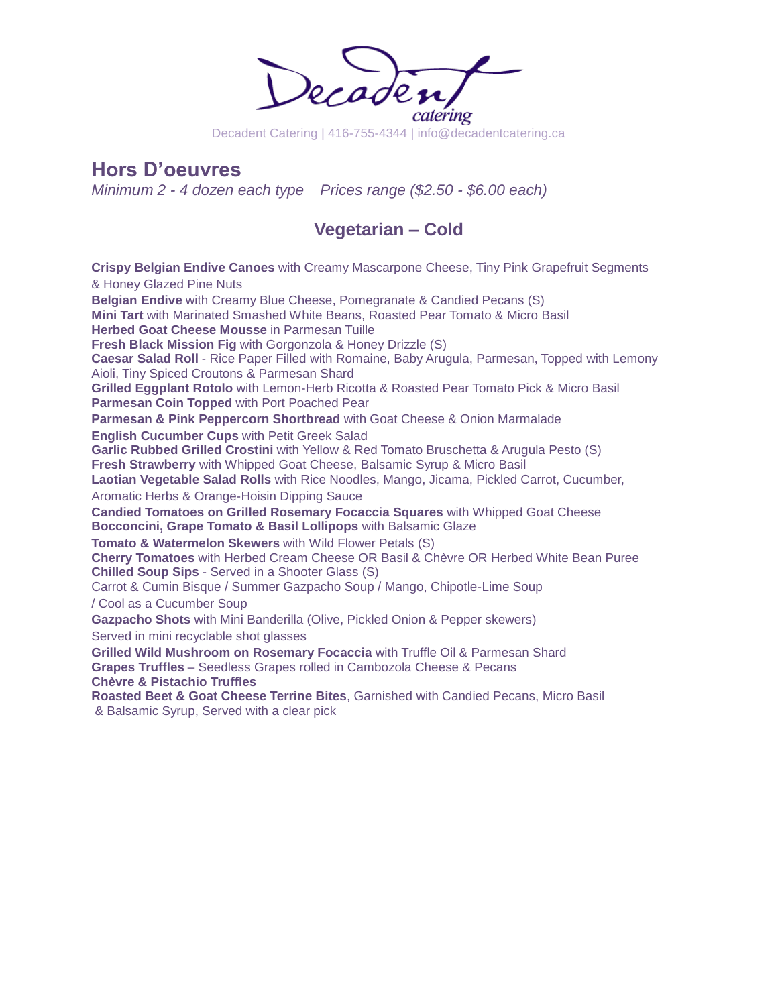

Decadent Catering | 416-755-4344 | info@decadentcatering.ca

## **Hors D'oeuvres**

*Minimum 2 - 4 dozen each type Prices range (\$2.50 - \$6.00 each)*

## **Vegetarian – Cold**

**Crispy Belgian Endive Canoes** with Creamy Mascarpone Cheese, Tiny Pink Grapefruit Segments & Honey Glazed Pine Nuts **Belgian Endive** with Creamy Blue Cheese, Pomegranate & Candied Pecans (S) **Mini Tart** with Marinated Smashed White Beans, Roasted Pear Tomato & Micro Basil **Herbed Goat Cheese Mousse** in Parmesan Tuille **Fresh Black Mission Fig** with Gorgonzola & Honey Drizzle (S) **Caesar Salad Roll** - Rice Paper Filled with Romaine, Baby Arugula, Parmesan, Topped with Lemony Aioli, Tiny Spiced Croutons & Parmesan Shard **Grilled Eggplant Rotolo** with Lemon-Herb Ricotta & Roasted Pear Tomato Pick & Micro Basil **Parmesan Coin Topped** with Port Poached Pear **Parmesan & Pink Peppercorn Shortbread** with Goat Cheese & Onion Marmalade **English Cucumber Cups** with Petit Greek Salad **Garlic Rubbed Grilled Crostini** with Yellow & Red Tomato Bruschetta & Arugula Pesto (S) **Fresh Strawberry** with Whipped Goat Cheese, Balsamic Syrup & Micro Basil **Laotian Vegetable Salad Rolls** with Rice Noodles, Mango, Jicama, Pickled Carrot, Cucumber, Aromatic Herbs & Orange-Hoisin Dipping Sauce **Candied Tomatoes on Grilled Rosemary Focaccia Squares** with Whipped Goat Cheese **Bocconcini, Grape Tomato & Basil Lollipops** with Balsamic Glaze **Tomato & Watermelon Skewers** with Wild Flower Petals (S) **Cherry Tomatoes** with Herbed Cream Cheese OR Basil & Chèvre OR Herbed White Bean Puree **Chilled Soup Sips** - Served in a Shooter Glass (S) Carrot & Cumin Bisque / Summer Gazpacho Soup / Mango, Chipotle-Lime Soup / Cool as a Cucumber Soup **Gazpacho Shots** with Mini Banderilla (Olive, Pickled Onion & Pepper skewers) Served in mini recyclable shot glasses **Grilled Wild Mushroom on Rosemary Focaccia** with Truffle Oil & Parmesan Shard **Grapes Truffles** – Seedless Grapes rolled in Cambozola Cheese & Pecans **Chèvre & Pistachio Truffles Roasted Beet & Goat Cheese Terrine Bites**, Garnished with Candied Pecans, Micro Basil & Balsamic Syrup, Served with a clear pick